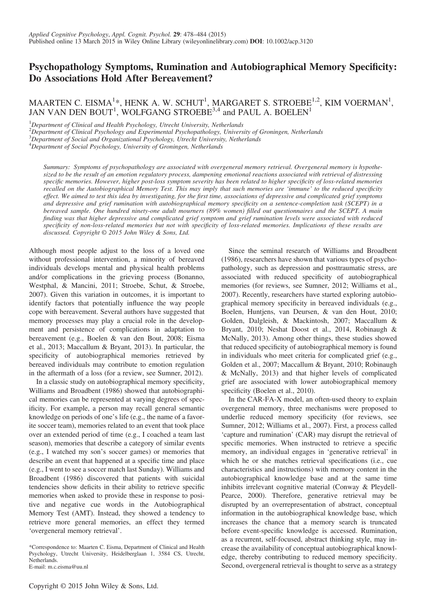# Psychopathology Symptoms, Rumination and Autobiographical Memory Specificity: Do Associations Hold After Bereavement?

# MAARTEN C. EISMA<sup>1</sup>\*, HENK A. W. SCHUT<sup>1</sup>, MARGARET S. STROEBE<sup>1,2</sup>, KIM VOERMAN<sup>1</sup>, JAN VAN DEN BOUT<sup>1</sup>, WOLFGANG STROEBE<sup>3,4</sup> and PAUL A. BOELEN<sup>1</sup>

<sup>1</sup>Department of Clinical and Health Psychology, Utrecht University, Netherlands

<sup>2</sup>Department of Clinical Psychology and Experimental Psychopathology, University of Groningen, Netherlands

<sup>3</sup>Department of Social and Organizational Psychology, Utrecht University, Netherlands

<sup>4</sup>Department of Social Psychology, University of Groningen, Netherlands

Summary: Symptoms of psychopathology are associated with overgeneral memory retrieval. Overgeneral memory is hypothesized to be the result of an emotion regulatory process, dampening emotional reactions associated with retrieval of distressing specific memories. However, higher post-loss symptom severity has been related to higher specificity of loss-related memories recalled on the Autobiographical Memory Test. This may imply that such memories are 'immune' to the reduced specificity effect. We aimed to test this idea by investigating, for the first time, associations of depressive and complicated grief symptoms and depressive and grief rumination with autobiographical memory specificity on a sentence-completion task (SCEPT) in a bereaved sample. One hundred ninety-one adult mourners (89% women) filled out questionnaires and the SCEPT. A main finding was that higher depressive and complicated grief symptom and grief rumination levels were associated with reduced specificity of non-loss-related memories but not with specificity of loss-related memories. Implications of these results are discussed. Copyright © 2015 John Wiley & Sons, Ltd.

Although most people adjust to the loss of a loved one without professional intervention, a minority of bereaved individuals develops mental and physical health problems and/or complications in the grieving process (Bonanno, Westphal, & Mancini, 2011; Stroebe, Schut, & Stroebe, 2007). Given this variation in outcomes, it is important to identify factors that potentially influence the way people cope with bereavement. Several authors have suggested that memory processes may play a crucial role in the development and persistence of complications in adaptation to bereavement (e.g., Boelen & van den Bout, 2008; Eisma et al., 2013; Maccallum & Bryant, 2013). In particular, the specificity of autobiographical memories retrieved by bereaved individuals may contribute to emotion regulation in the aftermath of a loss (for a review, see Sumner, 2012).

In a classic study on autobiographical memory specificity, Williams and Broadbent (1986) showed that autobiographical memories can be represented at varying degrees of specificity. For example, a person may recall general semantic knowledge on periods of one's life (e.g., the name of a favorite soccer team), memories related to an event that took place over an extended period of time (e.g., I coached a team last season), memories that describe a category of similar events (e.g., I watched my son's soccer games) or memories that describe an event that happened at a specific time and place (e.g., I went to see a soccer match last Sunday). Williams and Broadbent (1986) discovered that patients with suicidal tendencies show deficits in their ability to retrieve specific memories when asked to provide these in response to positive and negative cue words in the Autobiographical Memory Test (AMT). Instead, they showed a tendency to retrieve more general memories, an effect they termed 'overgeneral memory retrieval'.

\*Correspondence to: Maarten C. Eisma, Department of Clinical and Health Psychology, Utrecht University, Heidelberglaan 1, 3584 CS, Utrecht, **Netherlands**.

E-mail: m.c.eisma@uu.nl

Copyright © 2015 John Wiley & Sons, Ltd.

Since the seminal research of Williams and Broadbent (1986), researchers have shown that various types of psychopathology, such as depression and posttraumatic stress, are associated with reduced specificity of autobiographical memories (for reviews, see Sumner, 2012; Williams et al., 2007). Recently, researchers have started exploring autobiographical memory specificity in bereaved individuals (e.g., Boelen, Huntjens, van Deursen, & van den Hout, 2010; Golden, Dalgleish, & Mackintosh, 2007; Maccallum & Bryant, 2010; Neshat Doost et al., 2014, Robinaugh & McNally, 2013). Among other things, these studies showed that reduced specificity of autobiographical memory is found in individuals who meet criteria for complicated grief (e.g., Golden et al., 2007; Maccallum & Bryant, 2010; Robinaugh & McNally, 2013) and that higher levels of complicated grief are associated with lower autobiographical memory specificity (Boelen et al., 2010).

In the CAR-FA-X model, an often-used theory to explain overgeneral memory, three mechanisms were proposed to underlie reduced memory specificity (for reviews, see Sumner, 2012; Williams et al., 2007). First, a process called 'capture and rumination' (CAR) may disrupt the retrieval of specific memories. When instructed to retrieve a specific memory, an individual engages in 'generative retrieval' in which he or she matches retrieval specifications (i.e., cue characteristics and instructions) with memory content in the autobiographical knowledge base and at the same time inhibits irrelevant cognitive material (Conway & Pleydell-Pearce, 2000). Therefore, generative retrieval may be disrupted by an overrepresentation of abstract, conceptual information in the autobiographical knowledge base, which increases the chance that a memory search is truncated before event-specific knowledge is accessed. Rumination, as a recurrent, self-focused, abstract thinking style, may increase the availability of conceptual autobiographical knowledge, thereby contributing to reduced memory specificity. Second, overgeneral retrieval is thought to serve as a strategy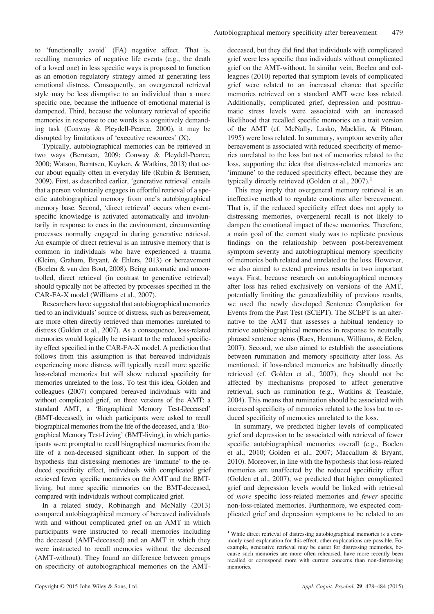to 'functionally avoid' (FA) negative affect. That is, recalling memories of negative life events (e.g., the death of a loved one) in less specific ways is proposed to function as an emotion regulatory strategy aimed at generating less emotional distress. Consequently, an overgeneral retrieval style may be less disruptive to an individual than a more specific one, because the influence of emotional material is dampened. Third, because the voluntary retrieval of specific memories in response to cue words is a cognitively demanding task (Conway & Pleydell-Pearce, 2000), it may be disrupted by limitations of 'executive resources' (X).

Typically, autobiographical memories can be retrieved in two ways (Berntsen, 2009; Conway & Pleydell-Pearce, 2000; Watson, Berntsen, Kuyken, & Watkins, 2013) that occur about equally often in everyday life (Rubin & Berntsen, 2009). First, as described earlier, 'generative retrieval' entails that a person voluntarily engages in effortful retrieval of a specific autobiographical memory from one's autobiographical memory base. Second, 'direct retrieval' occurs when eventspecific knowledge is activated automatically and involuntarily in response to cues in the environment, circumventing processes normally engaged in during generative retrieval. An example of direct retrieval is an intrusive memory that is common in individuals who have experienced a trauma (Kleim, Graham, Bryant, & Ehlers, 2013) or bereavement (Boelen & van den Bout, 2008). Being automatic and uncontrolled, direct retrieval (in contrast to generative retrieval) should typically not be affected by processes specified in the CAR-FA-X model (Williams et al., 2007).

Researchers have suggested that autobiographical memories tied to an individuals' source of distress, such as bereavement, are more often directly retrieved than memories unrelated to distress (Golden et al., 2007). As a consequence, loss-related memories would logically be resistant to the reduced specificity effect specified in the CAR-FA-X model. A prediction that follows from this assumption is that bereaved individuals experiencing more distress will typically recall more specific loss-related memories but will show reduced specificity for memories unrelated to the loss. To test this idea, Golden and colleagues (2007) compared bereaved individuals with and without complicated grief, on three versions of the AMT: a standard AMT, a 'Biographical Memory Test-Deceased' (BMT-deceased), in which participants were asked to recall biographical memories from the life of the deceased, and a 'Biographical Memory Test-Living' (BMT-living), in which participants were prompted to recall biographical memories from the life of a non-deceased significant other. In support of the hypothesis that distressing memories are 'immune' to the reduced specificity effect, individuals with complicated grief retrieved fewer specific memories on the AMT and the BMTliving, but more specific memories on the BMT-deceased, compared with individuals without complicated grief.

In a related study, Robinaugh and McNally (2013) compared autobiographical memory of bereaved individuals with and without complicated grief on an AMT in which participants were instructed to recall memories including the deceased (AMT-deceased) and an AMT in which they were instructed to recall memories without the deceased (AMT-without). They found no difference between groups on specificity of autobiographical memories on the AMT-

deceased, but they did find that individuals with complicated grief were less specific than individuals without complicated grief on the AMT-without. In similar vein, Boelen and colleagues (2010) reported that symptom levels of complicated grief were related to an increased chance that specific memories retrieved on a standard AMT were loss related. Additionally, complicated grief, depression and posttraumatic stress levels were associated with an increased likelihood that recalled specific memories on a trait version of the AMT (cf. McNally, Lasko, Macklin, & Pitman, 1995) were loss related. In summary, symptom severity after bereavement is associated with reduced specificity of memories unrelated to the loss but not of memories related to the loss, supporting the idea that distress-related memories are 'immune' to the reduced specificity effect, because they are typically directly retrieved (Golden et al.,  $2007$ ).<sup>1</sup>

This may imply that overgeneral memory retrieval is an ineffective method to regulate emotions after bereavement. That is, if the reduced specificity effect does not apply to distressing memories, overgeneral recall is not likely to dampen the emotional impact of these memories. Therefore, a main goal of the current study was to replicate previous findings on the relationship between post-bereavement symptom severity and autobiographical memory specificity of memories both related and unrelated to the loss. However, we also aimed to extend previous results in two important ways. First, because research on autobiographical memory after loss has relied exclusively on versions of the AMT, potentially limiting the generalizability of previous results, we used the newly developed Sentence Completion for Events from the Past Test (SCEPT). The SCEPT is an alternative to the AMT that assesses a habitual tendency to retrieve autobiographical memories in response to neutrally phrased sentence stems (Raes, Hermans, Williams, & Eelen, 2007). Second, we also aimed to establish the associations between rumination and memory specificity after loss. As mentioned, if loss-related memories are habitually directly retrieved (cf. Golden et al., 2007), they should not be affected by mechanisms proposed to affect generative retrieval, such as rumination (e.g., Watkins & Teasdale, 2004). This means that rumination should be associated with increased specificity of memories related to the loss but to reduced specificity of memories unrelated to the loss.

In summary, we predicted higher levels of complicated grief and depression to be associated with retrieval of fewer specific autobiographical memories overall (e.g., Boelen et al., 2010; Golden et al., 2007; Maccallum & Bryant, 2010). Moreover, in line with the hypothesis that loss-related memories are unaffected by the reduced specificity effect (Golden et al., 2007), we predicted that higher complicated grief and depression levels would be linked with retrieval of more specific loss-related memories and fewer specific non-loss-related memories. Furthermore, we expected complicated grief and depression symptoms to be related to an

<sup>&</sup>lt;sup>1</sup> While direct retrieval of distressing autobiographical memories is a commonly used explanation for this effect, other explanations are possible. For example, generative retrieval may be easier for distressing memories, because such memories are more often rehearsed, have more recently been recalled or correspond more with current concerns than non-distressing memories.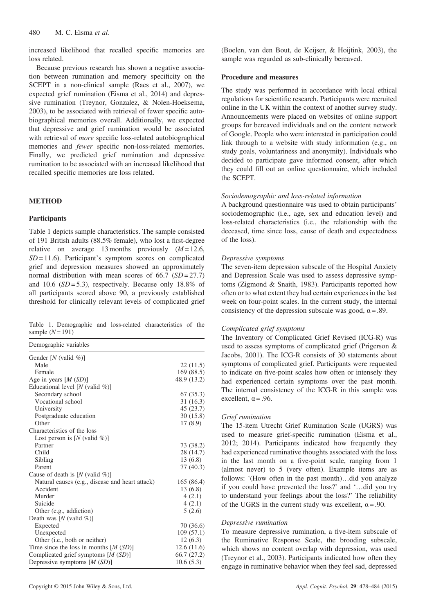increased likelihood that recalled specific memories are loss related.

Because previous research has shown a negative association between rumination and memory specificity on the SCEPT in a non-clinical sample (Raes et al., 2007), we expected grief rumination (Eisma et al., 2014) and depressive rumination (Treynor, Gonzalez, & Nolen-Hoeksema, 2003), to be associated with retrieval of fewer specific autobiographical memories overall. Additionally, we expected that depressive and grief rumination would be associated with retrieval of more specific loss-related autobiographical memories and fewer specific non-loss-related memories. Finally, we predicted grief rumination and depressive rumination to be associated with an increased likelihood that recalled specific memories are loss related.

## **METHOD**

#### **Participants**

Table 1 depicts sample characteristics. The sample consisted of 191 British adults (88.5% female), who lost a first-degree relative on average 13 months previously  $(M=12.6,$  $SD = 11.6$ ). Participant's symptom scores on complicated grief and depression measures showed an approximately normal distribution with mean scores of  $66.7$  (SD = 27.7) and 10.6  $(SD = 5.3)$ , respectively. Because only 18.8% of all participants scored above 90, a previously established threshold for clinically relevant levels of complicated grief

Table 1. Demographic and loss-related characteristics of the sample  $(N = 191)$ 

| Demographic variables                           |             |
|-------------------------------------------------|-------------|
| Gender [N (valid $\%$ )]                        |             |
| Male                                            | 22(11.5)    |
| Female                                          | 169 (88.5)  |
| Age in years $[M(SD)]$                          | 48.9 (13.2) |
| Educational level $[N$ (valid $\%$ )]           |             |
| Secondary school                                | 67(35.3)    |
| Vocational school                               | 31(16.3)    |
| University                                      | 45 (23.7)   |
| Postgraduate education                          | 30 (15.8)   |
| Other                                           | 17(8.9)     |
| Characteristics of the loss                     |             |
| Lost person is $[N \text{ (valid } \%)]$        |             |
| Partner                                         | 73 (38.2)   |
| Child                                           | 28 (14.7)   |
| Sibling                                         | 13(6.8)     |
| Parent                                          | 77 (40.3)   |
| Cause of death is $[N \text{ (valid } \%)]$     |             |
| Natural causes (e.g., disease and heart attack) | 165(86.4)   |
| Accident                                        | 13(6.8)     |
| Murder                                          | 4(2.1)      |
| Suicide                                         | 4(2.1)      |
| Other (e.g., addiction)                         | 5(2.6)      |
| Death was $[N \text{ (valid } \%)]$             |             |
| Expected                                        | 70 (36.6)   |
| Unexpected                                      | 109(57.1)   |
| Other (i.e., both or neither)                   | 12(6.3)     |
| Time since the loss in months $[M(SD)]$         | 12.6(11.6)  |
| Complicated grief symptoms $[M(SD)]$            | 66.7 (27.2) |
| Depressive symptoms $[M(SD)]$                   | 10.6(5.3)   |

(Boelen, van den Bout, de Keijser, & Hoijtink, 2003), the sample was regarded as sub-clinically bereaved.

# Procedure and measures

The study was performed in accordance with local ethical regulations for scientific research. Participants were recruited online in the UK within the context of another survey study. Announcements were placed on websites of online support groups for bereaved individuals and on the content network of Google. People who were interested in participation could link through to a website with study information (e.g., on study goals, voluntariness and anonymity). Individuals who decided to participate gave informed consent, after which they could fill out an online questionnaire, which included the SCEPT.

# Sociodemographic and loss-related information

A background questionnaire was used to obtain participants' sociodemographic (i.e., age, sex and education level) and loss-related characteristics (i.e., the relationship with the deceased, time since loss, cause of death and expectedness of the loss).

## Depressive symptoms

The seven-item depression subscale of the Hospital Anxiety and Depression Scale was used to assess depressive symptoms (Zigmond & Snaith, 1983). Participants reported how often or to what extent they had certain experiences in the last week on four-point scales. In the current study, the internal consistency of the depression subscale was good,  $\alpha = .89$ .

# Complicated grief symptoms

The Inventory of Complicated Grief Revised (ICG-R) was used to assess symptoms of complicated grief (Prigerson & Jacobs, 2001). The ICG-R consists of 30 statements about symptoms of complicated grief. Participants were requested to indicate on five-point scales how often or intensely they had experienced certain symptoms over the past month. The internal consistency of the ICG-R in this sample was excellent,  $\alpha = .96$ .

#### Grief rumination

The 15-item Utrecht Grief Rumination Scale (UGRS) was used to measure grief-specific rumination (Eisma et al., 2012; 2014). Participants indicated how frequently they had experienced ruminative thoughts associated with the loss in the last month on a five-point scale, ranging from 1 (almost never) to 5 (very often). Example items are as follows: '(How often in the past month)…did you analyze if you could have prevented the loss?' and '…did you try to understand your feelings about the loss?' The reliability of the UGRS in the current study was excellent,  $\alpha = .90$ .

#### Depressive rumination

To measure depressive rumination, a five-item subscale of the Ruminative Response Scale, the brooding subscale, which shows no content overlap with depression, was used (Treynor et al., 2003). Participants indicated how often they engage in ruminative behavior when they feel sad, depressed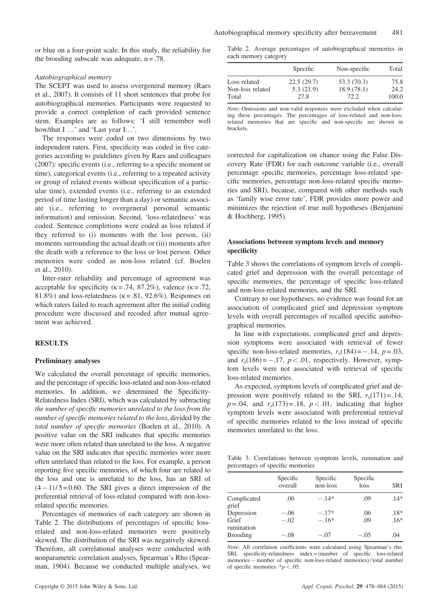or blue on a four-point scale. In this study, the reliability for the brooding subscale was adequate,  $\alpha = .78$ .

#### Autobiographical memory

The SCEPT was used to assess overgeneral memory (Raes et al., 2007). It consists of 11 short sentences that probe for autobiographical memories. Participants were requested to provide a correct completion of each provided sentence stem. Examples are as follows: 'I still remember well how/that I …' and 'Last year I…'.

The responses were coded on two dimensions by two independent raters. First, specificity was coded in five categories according to guidelines given by Raes and colleagues (2007): specific events (i.e., referring to a specific moment or time), categorical events (i.e., referring to a repeated activity or group of related events without specification of a particular time), extended events (i.e., referring to an extended period of time lasting longer than a day) or semantic associate (i.e., referring to overgeneral personal semantic information) and omission. Second, 'loss-relatedness' was coded. Sentence completions were coded as loss related if they referred to (i) moments with the lost person, (ii) moments surrounding the actual death or (iii) moments after the death with a reference to the loss or lost person. Other memories were coded as non-loss related (cf. Boelen et al., 2010).

Inter-rater reliability and percentage of agreement was acceptable for specificity ( $\kappa = .74, 87.2\%$ ), valence ( $\kappa = .72$ , 81.8%) and loss-relatedness ( $\kappa$  = .81, 92.6%). Responses on which raters failed to reach agreement after the initial coding procedure were discussed and recoded after mutual agreement was achieved.

#### **RESULTS**

#### Preliminary analyses

We calculated the overall percentage of specific memories, and the percentage of specific loss-related and non-loss-related memories. In addition, we determined the Specificity-Relatedness Index (SRI), which was calculated by subtracting the number of specific memories unrelated to the loss from the number of specific memories related to the loss, divided by the total number of specific memories (Boelen et al., 2010). A positive value on the SRI indicates that specific memories were more often related than unrelated to the loss. A negative value on the SRI indicates that specific memories were more often unrelated than related to the loss. For example, a person reporting five specific memories, of which four are related to the loss and one is unrelated to the loss, has an SRI of  $(4 - 1)/5 = 0.60$ . The SRI gives a direct impression of the preferential retrieval of loss-related compared with non-lossrelated specific memories.

Percentages of memories of each category are shown in Table 2. The distributions of percentages of specific lossrelated and non-loss-related memories were positively skewed. The distribution of the SRI was negatively skewed. Therefore, all correlational analyses were conducted with nonparametric correlation analyses, Spearman's Rho (Spearman, 1904). Because we conducted multiple analyses, we Table 2. Average percentages of autobiographical memories in each memory category

|                  | Specific   | Non-specific | Total |
|------------------|------------|--------------|-------|
| Loss related     | 22.5(29.7) | 53.3 (70.3)  | 75.8  |
| Non-loss related | 5.3(21.9)  | 18.9(78.1)   | 24.2  |
| Total            | 27.8       | 72.2.        | 100.0 |

Note: Omissions and non-valid responses were excluded when calculating these percentages. The percentages of loss-related and non-lossrelated memories that are specific and non-specific are shown in brackets.

corrected for capitalization on chance using the False Discovery Rate (FDR) for each outcome variable (i.e., overall percentage specific memories, percentage loss-related specific memories, percentage non-loss-related specific memories and SRI), because, compared with other methods such as 'family wise error rate', FDR provides more power and minimizes the rejection of true null hypotheses (Benjamini & Hochberg, 1995).

## Associations between symptom levels and memory specificity

Table 3 shows the correlations of symptom levels of complicated grief and depression with the overall percentage of specific memories, the percentage of specific loss-related and non-loss-related memories, and the SRI.

Contrary to our hypotheses, no evidence was found for an association of complicated grief and depression symptom levels with overall percentages of recalled specific autobiographical memories.

In line with expectations, complicated grief and depression symptoms were associated with retrieval of fewer specific non-loss-related memories,  $r_s(184) = -.14$ ,  $p = .03$ , and  $r_s(186) = -.17$ ,  $p < .01$ , respectively. However, symptom levels were not associated with retrieval of specific loss-related memories.

As expected, symptom levels of complicated grief and depression were positively related to the SRI,  $r_s(171) = .14$ ,  $p = .04$ , and  $r_s(173) = .18$ ,  $p < .01$ , indicating that higher symptom levels were associated with preferential retrieval of specific memories related to the loss instead of specific memories unrelated to the loss.

Table 3. Correlations between symptom levels, rumination and percentages of specific memories

|                               | Specific<br>overall | Specific<br>non-loss | Specific<br>loss | SRI              |
|-------------------------------|---------------------|----------------------|------------------|------------------|
| Complicated<br>grief          | .00                 | $-.14*$              | .09              | $.14*$           |
| Depression<br>Grief           | $-.06$<br>$-.02$    | $-.17*$<br>$-.16*$   | .06<br>.09       | $.18*$<br>$.16*$ |
| rumination<br><b>Brooding</b> | $-.08$              | $-.07$               | $-.05$           | .04              |

Note: All correlation coefficients were calculated using Spearman's rho. SRI, specificity-relatedness index = (number of specific loss-related memories – number of specific non-loss-related memories) / total number of specific memories.  $\frac{k}{p} < .05$ .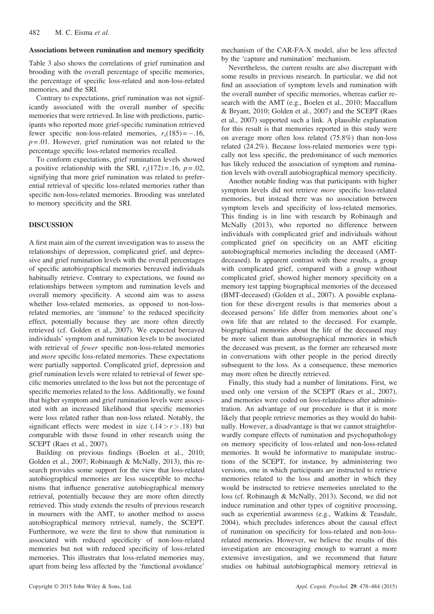#### Associations between rumination and memory specificity

Table 3 also shows the correlations of grief rumination and brooding with the overall percentage of specific memories, the percentage of specific loss-related and non-loss-related memories, and the SRI.

Contrary to expectations, grief rumination was not significantly associated with the overall number of specific memories that were retrieved. In line with predictions, participants who reported more grief-specific rumination retrieved fewer specific non-loss-related memories,  $r_s(185) = -.16$ ,  $p = 0.01$ . However, grief rumination was not related to the percentage specific loss-related memories recalled.

To conform expectations, grief rumination levels showed a positive relationship with the SRI,  $r_s(172) = .16$ ,  $p = .02$ , signifying that more grief rumination was related to preferential retrieval of specific loss-related memories rather than specific non-loss-related memories. Brooding was unrelated to memory specificity and the SRI.

#### DISCUSSION

A first main aim of the current investigation was to assess the relationships of depression, complicated grief, and depressive and grief rumination levels with the overall percentages of specific autobiographical memories bereaved individuals habitually retrieve. Contrary to expectations, we found no relationships between symptom and rumination levels and overall memory specificity. A second aim was to assess whether loss-related memories, as opposed to non-lossrelated memories, are 'immune' to the reduced specificity effect, potentially because they are more often directly retrieved (cf. Golden et al., 2007). We expected bereaved individuals' symptom and rumination levels to be associated with retrieval of *fewer* specific non-loss-related memories and more specific loss-related memories. These expectations were partially supported. Complicated grief, depression and grief rumination levels were related to retrieval of fewer specific memories unrelated to the loss but not the percentage of specific memories related to the loss. Additionally, we found that higher symptom and grief rumination levels were associated with an increased likelihood that specific memories were loss related rather than non-loss related. Notably, the significant effects were modest in size  $(.14 > r > .18)$  but comparable with those found in other research using the SCEPT (Raes et al., 2007).

Building on previous findings (Boelen et al., 2010; Golden et al., 2007; Robinaugh & McNally, 2013), this research provides some support for the view that loss-related autobiographical memories are less susceptible to mechanisms that influence generative autobiographical memory retrieval, potentially because they are more often directly retrieved. This study extends the results of previous research in mourners with the AMT, to another method to assess autobiographical memory retrieval, namely, the SCEPT. Furthermore, we were the first to show that rumination is associated with reduced specificity of non-loss-related memories but not with reduced specificity of loss-related memories. This illustrates that loss-related memories may, apart from being less affected by the 'functional avoidance'

mechanism of the CAR-FA-X model, also be less affected by the 'capture and rumination' mechanism.

Nevertheless, the current results are also discrepant with some results in previous research. In particular, we did not find an association of symptom levels and rumination with the overall number of specific memories, whereas earlier research with the AMT (e.g., Boelen et al., 2010; Maccallum & Bryant, 2010; Golden et al., 2007) and the SCEPT (Raes et al., 2007) supported such a link. A plausible explanation for this result is that memories reported in this study were on average more often loss related (75.8%) than non-loss related (24.2%). Because loss-related memories were typically not less specific, the predominance of such memories has likely reduced the association of symptom and rumination levels with overall autobiographical memory specificity.

Another notable finding was that participants with higher symptom levels did not retrieve more specific loss-related memories, but instead there was no association between symptom levels and specificity of loss-related memories. This finding is in line with research by Robinaugh and McNally (2013), who reported no difference between individuals with complicated grief and individuals without complicated grief on specificity on an AMT eliciting autobiographical memories including the deceased (AMTdeceased). In apparent contrast with these results, a group with complicated grief, compared with a group without complicated grief, showed higher memory specificity on a memory test tapping biographical memories of the deceased (BMT-deceased) (Golden et al., 2007). A possible explanation for these divergent results is that memories about a deceased persons' life differ from memories about one's own life that are related to the deceased. For example, biographical memories about the life of the deceased may be more salient than autobiographical memories in which the deceased was present, as the former are rehearsed more in conversations with other people in the period directly subsequent to the loss. As a consequence, these memories may more often be directly retrieved.

Finally, this study had a number of limitations. First, we used only one version of the SCEPT (Raes et al., 2007), and memories were coded on loss-relatedness after administration. An advantage of our procedure is that it is more likely that people retrieve memories as they would do habitually. However, a disadvantage is that we cannot straightforwardly compare effects of rumination and psychopathology on memory specificity of loss-related and non-loss-related memories. It would be informative to manipulate instructions of the SCEPT, for instance, by administering two versions, one in which participants are instructed to retrieve memories related to the loss and another in which they would be instructed to retrieve memories unrelated to the loss (cf. Robinaugh & McNally, 2013). Second, we did not induce rumination and other types of cognitive processing, such as experiential awareness (e.g., Watkins & Teasdale, 2004), which precludes inferences about the causal effect of rumination on specificity for loss-related and non-lossrelated memories. However, we believe the results of this investigation are encouraging enough to warrant a more extensive investigation, and we recommend that future studies on habitual autobiographical memory retrieval in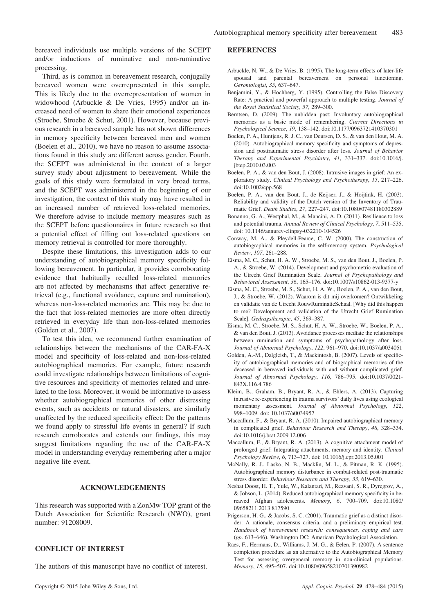bereaved individuals use multiple versions of the SCEPT and/or inductions of ruminative and non-ruminative processing.

Third, as is common in bereavement research, conjugally bereaved women were overrepresented in this sample. This is likely due to the overrepresentation of women in widowhood (Arbuckle & De Vries, 1995) and/or an increased need of women to share their emotional experiences (Stroebe, Stroebe & Schut, 2001). However, because previous research in a bereaved sample has not shown differences in memory specificity between bereaved men and women (Boelen et al., 2010), we have no reason to assume associations found in this study are different across gender. Fourth, the SCEPT was administered in the context of a larger survey study about adjustment to bereavement. While the goals of this study were formulated in very broad terms, and the SCEPT was administered in the beginning of our investigation, the context of this study may have resulted in an increased number of retrieved loss-related memories. We therefore advise to include memory measures such as the SCEPT before questionnaires in future research so that a potential effect of filling out loss-related questions on memory retrieval is controlled for more thoroughly.

Despite these limitations, this investigation adds to our understanding of autobiographical memory specificity following bereavement. In particular, it provides corroborating evidence that habitually recalled loss-related memories are not affected by mechanisms that affect generative retrieval (e.g., functional avoidance, capture and rumination), whereas non-loss-related memories are. This may be due to the fact that loss-related memories are more often directly retrieved in everyday life than non-loss-related memories (Golden et al., 2007).

To test this idea, we recommend further examination of relationships between the mechanisms of the CAR-FA-X model and specificity of loss-related and non-loss-related autobiographical memories. For example, future research could investigate relationships between limitations of cognitive resources and specificity of memories related and unrelated to the loss. Moreover, it would be informative to assess whether autobiographical memories of other distressing events, such as accidents or natural disasters, are similarly unaffected by the reduced specificity effect: Do the patterns we found apply to stressful life events in general? If such research corroborates and extends our findings, this may suggest limitations regarding the use of the CAR-FA-X model in understanding everyday remembering after a major negative life event.

#### ACKNOWLEDGEMENTS

This research was supported with a ZonMw TOP grant of the Dutch Association for Scientific Research (NWO), grant number: 91208009.

### CONFLICT OF INTEREST

The authors of this manuscript have no conflict of interest.

### **REFERENCES**

- Arbuckle, N. W., & De Vries, B. (1995). The long-term effects of later-life spousal and parental bereavement on personal functioning. Gerontologist, 35, 637–647.
- Benjamini, Y., & Hochberg, Y. (1995). Controlling the False Discovery Rate: A practical and powerful approach to multiple testing. Journal of the Royal Statistical Society, 57, 289–300.
- Berntsen, D. (2009). The unbidden past: Involuntary autobiographical memories as a basic mode of remembering. Current Directions in Psychological Science, 19, 138–142. doi:10.1177/0963721410370301
- Boelen, P. A., Huntjens, R. J. C., van Deursen, D. S., & van den Hout, M. A. (2010). Autobiographical memory specificity and symptoms of depression and posttraumatic stress disorder after loss. Journal of Behavior Therapy and Experimental Psychiatry, 41, 331–337. doi:10.1016/j. jbtep.2010.03.003
- Boelen, P. A., & van den Bout, J. (2008). Intrusive images in grief: An exploratory study. Clinical Psychology and Psychotherapy, 15, 217–226. doi:10.1002/cpp.568
- Boelen, P. A., van den Bout, J., de Keijser, J., & Hoijtink, H. (2003). Reliability and validity of the Dutch version of the Inventory of Traumatic Grief. Death Studies, 27, 227–247. doi:10.1080/07481180302889
- Bonanno, G. A., Westphal, M., & Mancini, A. D. (2011). Resilience to loss and potential trauma. Annual Review of Clinical Psychology, 7, 511–535. doi: 10.1146/annurev-clinpsy-032210-104526
- Conway, M. A., & Pleydell-Pearce, C. W. (2000). The construction of autobiographical memories in the self-memory system. Psychological Review, 107, 261–288.
- Eisma, M. C., Schut, H. A. W., Stroebe, M. S., van den Bout, J., Boelen, P. A., & Stroebe, W. (2014). Development and psychometric evaluation of the Utrecht Grief Rumination Scale. Journal of Psychopathology and Behavioral Assessment, 36, 165–176. doi:10.1007/s10862-013-9377-y
- Eisma, M. C., Stroebe, M. S., Schut, H. A. W., Boelen, P. A., van den Bout, J., & Stroebe, W. (2012). Waarom is dit mij overkomen? Ontwikkeling en validatie van de Utrecht RouwRuminatieSchaal. [Why did this happen to me? Development and validation of the Utrecht Grief Rumination Scale]. Gedragstherapie, 45, 369–387.
- Eisma, M. C., Stroebe, M. S., Schut, H. A. W., Stroebe, W., Boelen, P. A., & van den Bout, J. (2013). Avoidance processes mediate the relationships between rumination and symptoms of psychopathology after loss. Journal of Abnormal Psychology, 122, 961–970. doi:10.1037/a0034051
- Golden, A.-M., Dalgleish, T., & Mackintosh, B. (2007). Levels of specificity of autobiographical memories and of biographical memories of the deceased in bereaved individuals with and without complicated grief. Journal of Abnormal Psychology, 116, 786–795. doi:10.1037/0021- 843X.116.4.786
- Kleim, B., Graham, B., Bryant, R. A., & Ehlers, A. (2013). Capturing intrusive re-experiencing in trauma survivors' daily lives using ecological momentary assessment. Journal of Abnormal Psychology, 122, 998–1009. doi: 10.1037/a0034957
- Maccallum, F., & Bryant, R. A. (2010). Impaired autobiographical memory in complicated grief. Behaviour Research and Therapy, 48, 328–334. doi:10.1016/j.brat.2009.12.006
- Maccallum, F., & Bryant, R. A. (2013). A cognitive attachment model of prolonged grief: Integrating attachments, memory and identity. Clinical Psychology Review, 6, 713–727. doi: 10.1016/j.cpr.2013.05.001
- McNally, R. J., Lasko, N. B., Macklin, M. L., & Pitman, R. K. (1995). Autobiographical memory disturbance in combat-related post-traumatic stress disorder. Behaviour Research and Therapy, 33, 619-630.
- Neshat Doost, H. T., Yule, W., Kalantari, M., Rezvani, S. R., Dyregrov, A., & Jobson, L. (2014). Reduced autobiographical memory specificity in bereaved Afghan adolescents. Memory, 6, 700–709. doi:10.1080/ 09658211.2013.817590
- Prigerson, H. G., & Jacobs, S. C. (2001). Traumatic grief as a distinct disorder: A rationale, consensus criteria, and a preliminary empirical test. Handbook of bereavement research: consequences, coping and care (pp. 613–646). Washington DC: American Psychological Association.
- Raes, F., Hermans, D., Williams, J. M. G., & Eelen, P. (2007). A sentence completion procedure as an alternative to the Autobiographical Memory Test for assessing overgeneral memory in non-clinical populations. Memory, 15, 495–507. doi:10.1080/09658210701390982